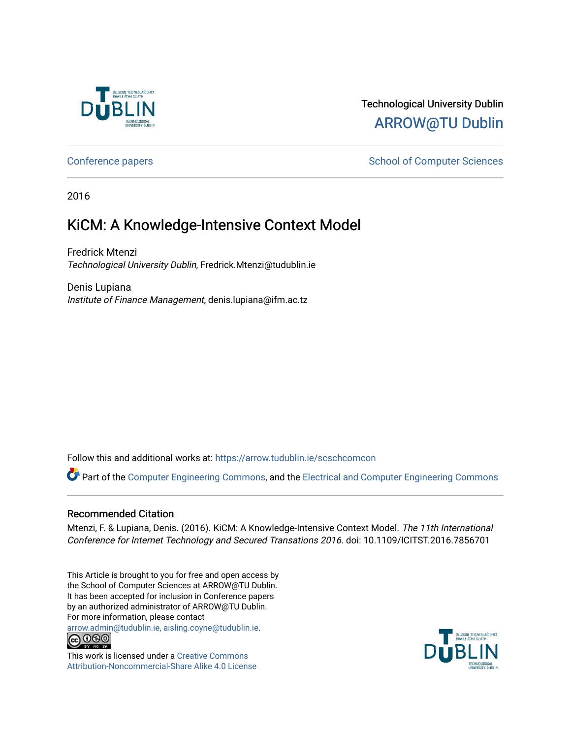

# Technological University Dublin [ARROW@TU Dublin](https://arrow.tudublin.ie/)

[Conference papers](https://arrow.tudublin.ie/scschcomcon) **School of Computer Sciences** School of Computer Sciences

2016

# KiCM: A Knowledge-Intensive Context Model

Fredrick Mtenzi Technological University Dublin, Fredrick.Mtenzi@tudublin.ie

Denis Lupiana Institute of Finance Management, denis.lupiana@ifm.ac.tz

Follow this and additional works at: [https://arrow.tudublin.ie/scschcomcon](https://arrow.tudublin.ie/scschcomcon?utm_source=arrow.tudublin.ie%2Fscschcomcon%2F200&utm_medium=PDF&utm_campaign=PDFCoverPages)

Part of the [Computer Engineering Commons,](http://network.bepress.com/hgg/discipline/258?utm_source=arrow.tudublin.ie%2Fscschcomcon%2F200&utm_medium=PDF&utm_campaign=PDFCoverPages) and the [Electrical and Computer Engineering Commons](http://network.bepress.com/hgg/discipline/266?utm_source=arrow.tudublin.ie%2Fscschcomcon%2F200&utm_medium=PDF&utm_campaign=PDFCoverPages)

### Recommended Citation

Mtenzi, F. & Lupiana, Denis. (2016). KiCM: A Knowledge-Intensive Context Model. The 11th International Conference for Internet Technology and Secured Transations 2016. doi: 10.1109/ICITST.2016.7856701

This Article is brought to you for free and open access by the School of Computer Sciences at ARROW@TU Dublin. It has been accepted for inclusion in Conference papers by an authorized administrator of ARROW@TU Dublin. For more information, please contact

[arrow.admin@tudublin.ie, aisling.coyne@tudublin.ie](mailto:arrow.admin@tudublin.ie,%20aisling.coyne@tudublin.ie).



This work is licensed under a [Creative Commons](http://creativecommons.org/licenses/by-nc-sa/4.0/) [Attribution-Noncommercial-Share Alike 4.0 License](http://creativecommons.org/licenses/by-nc-sa/4.0/)

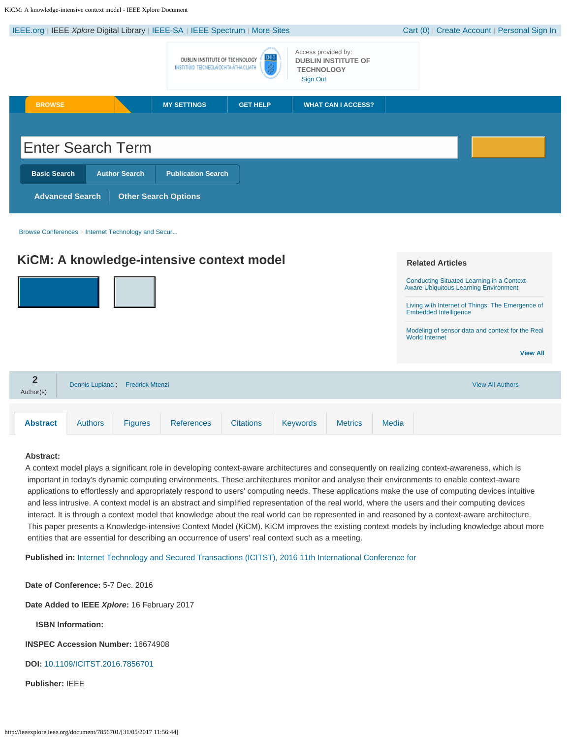<span id="page-1-0"></span>KiCM: A knowledge-intensive context model - IEEE Xplore Document

| IEEE.org   IEEE Xplore Digital Library   IEEE-SA   IEEE Spectrum   More Sites |                                                                                 |                                                                                    | Cart (0)   Create Account   Personal Sign In |
|-------------------------------------------------------------------------------|---------------------------------------------------------------------------------|------------------------------------------------------------------------------------|----------------------------------------------|
|                                                                               | DIT<br>DUBLIN INSTITUTE OF TECHNOLOGY<br>INSTITIÚID TEICNEOLAÍOCHTA ÁTHA CLIATH | Access provided by:<br><b>DUBLIN INSTITUTE OF</b><br><b>TECHNOLOGY</b><br>Sign Out |                                              |
| <b>BROWSE</b>                                                                 | <b>MY SETTINGS</b><br><b>GET HELP</b>                                           | <b>WHAT CAN I ACCESS?</b>                                                          |                                              |
|                                                                               |                                                                                 |                                                                                    |                                              |
| <b>Enter Search Term</b>                                                      |                                                                                 |                                                                                    |                                              |
| <b>Basic Search</b><br><b>Author Search</b>                                   | <b>Publication Search</b>                                                       |                                                                                    |                                              |
| <b>Advanced Search</b><br><b>Other Search Options</b>                         |                                                                                 |                                                                                    |                                              |

[Browse Conferences](http://ieeexplore.ieee.org/browse/conferences/title/) > [Internet Technology and Secur...](http://ieeexplore.ieee.org/xpl/mostRecentIssue.jsp?punumber=7847254)

|                             |                                 |                | KiCM: A knowledge-intensive context model |                  |                 |                |       | <b>Related Articles</b>                                                                                                                                                                                                                                                               |
|-----------------------------|---------------------------------|----------------|-------------------------------------------|------------------|-----------------|----------------|-------|---------------------------------------------------------------------------------------------------------------------------------------------------------------------------------------------------------------------------------------------------------------------------------------|
|                             |                                 |                |                                           |                  |                 |                |       | <b>Conducting Situated Learning in a Context-</b><br><b>Aware Ubiquitous Learning Environment</b><br>Living with Internet of Things: The Emergence of<br><b>Embedded Intelligence</b><br>Modeling of sensor data and context for the Real<br><b>World Internet</b><br><b>View All</b> |
| $\overline{2}$<br>Author(s) | Dennis Lupiana; Fredrick Mtenzi |                |                                           |                  |                 |                |       | <b>View All Authors</b>                                                                                                                                                                                                                                                               |
| <b>Abstract</b>             | <b>Authors</b>                  | <b>Figures</b> | <b>References</b>                         | <b>Citations</b> | <b>Keywords</b> | <b>Metrics</b> | Media |                                                                                                                                                                                                                                                                                       |

#### **Abstract:**

A context model plays a significant role in developing context-aware architectures and consequently on realizing context-awareness, which is important in today's dynamic computing environments. These architectures monitor and analyse their environments to enable context-aware applications to effortlessly and appropriately respond to users' computing needs. These applications make the use of computing devices intuitive and less intrusive. A context model is an abstract and simplified representation of the real world, where the users and their computing devices interact. It is through a context model that knowledge about the real world can be represented in and reasoned by a context-aware architecture. This paper presents a Knowledge-intensive Context Model (KiCM). KiCM improves the existing context models by including knowledge about more entities that are essential for describing an occurrence of users' real context such as a meeting.

**Published in:** [Internet Technology and Secured Transactions \(ICITST\), 2016 11th International Conference for](http://ieeexplore.ieee.org/xpl/mostRecentIssue.jsp?punumber=7847254)

**Date of Conference:** 5-7 Dec. 2016

**Date Added to IEEE** *Xplore***:** 16 February 2017

**ISBN Information:**

**INSPEC Accession Number:** 16674908

**DOI:** [10.1109/ICITST.2016.7856701](https://doi.org/10.1109/ICITST.2016.7856701)

**Publisher:** IEEE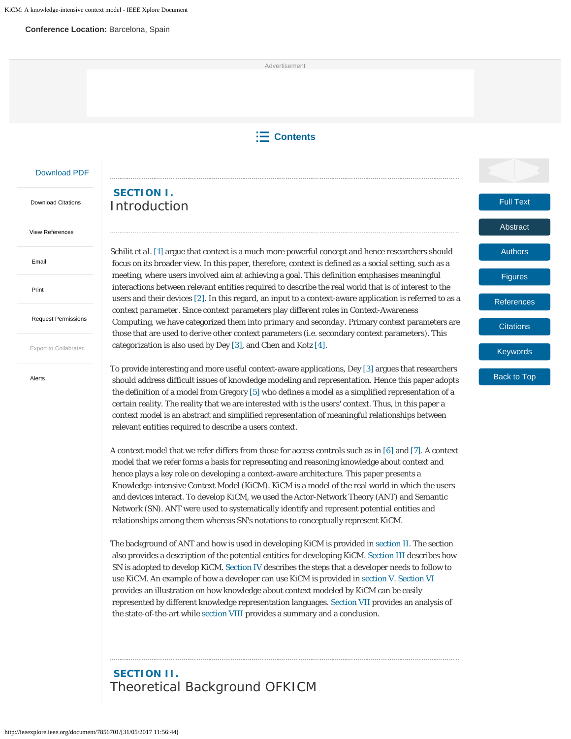#### **Conference Location:** Barcelona, Spain

Advertisement

### **Contents**

Full Text

[Abstract](http://ieeexplore.ieee.org/document/7856701/?section=abstract)

[Authors](http://ieeexplore.ieee.org/document/7856701/authors)

[Figures](http://ieeexplore.ieee.org/document/7856701/figures)

**[References](http://ieeexplore.ieee.org/document/7856701/references)** 

**[Citations](http://ieeexplore.ieee.org/document/7856701/citations)** 

[Keywords](http://ieeexplore.ieee.org/document/7856701/keywords)

Back to Top

#### [Download PDF](http://ieeexplore.ieee.org/stamp/stamp.jsp?arnumber=7856701)

 [Download Citations](#page-1-0)

[View References](http://ieeexplore.ieee.org/xpl/dwnldReferences?arnumber=7856701)

 [Email](#page-1-0)

 [Print](#page-1-0)

 [Request Permissions](#page-1-0)

 [Export to Collabratec](#page-1-0)

 [Alerts](#page-1-0)

### **SECTION I.** Introduction

Schilit *et al.* [1] argue that context is a much more powerful concept and hence researchers should focus on its broader view. In this paper, therefore, context is defined as a social setting, such as a meeting, where users involved aim at achieving a goal. This definition emphasises meaningful interactions between relevant entities required to describe the real world that is of interest to the users and their devices [2]. In this regard, an input to a context-aware application is referred to as a *context parameter*. Since context parameters play different roles in Context-Awareness Computing, we have categorized them into *primary* and *seconday*. Primary context parameters are those that are used to derive other context parameters (i.e. secondary context parameters). This categorization is also used by Dey [3], and Chen and Kotz [4].

To provide interesting and more useful context-aware applications, Dey [3] argues that researchers should address difficult issues of knowledge modeling and representation. Hence this paper adopts the definition of a model from Gregory [5] who defines a model as a simplified representation of a certain reality. The reality that we are interested with is the users' context. Thus, in this paper a context model is an abstract and simplified representation of meaningful relationships between relevant entities required to describe a users context.

A context model that we refer differs from those for access controls such as in [6] and [7]. A context model that we refer forms a basis for representing and reasoning knowledge about context and hence plays a key role on developing a context-aware architecture. This paper presents a Knowledge-intensive Context Model (*KiCM). KiCM* is a model of the real world in which the users and devices interact. To develop *KiCM*, we used the Actor-Network Theory (ANT) and Semantic Network (SN). ANT were used to systematically identify and represent potential entities and relationships among them whereas SN's notations to conceptually represent *KiCM*.

The background of ANT and how is used in developing *KiCM* is provided in section II. The section also provides a description of the potential entities for developing *KiCM*. Section III describes how SN is adopted to develop *KiCM*. Section IV describes the steps that a developer needs to follow to use *KiCM*. An example of how a developer can use *KiCM* is provided in section V. Section VI provides an illustration on how knowledge about context modeled by *KiCM* can be easily represented by different knowledge representation languages. Section VII provides an analysis of the state-of-the-art while section VIII provides a summary and a conclusion.

### **SECTION II.** Theoretical Background OFKICM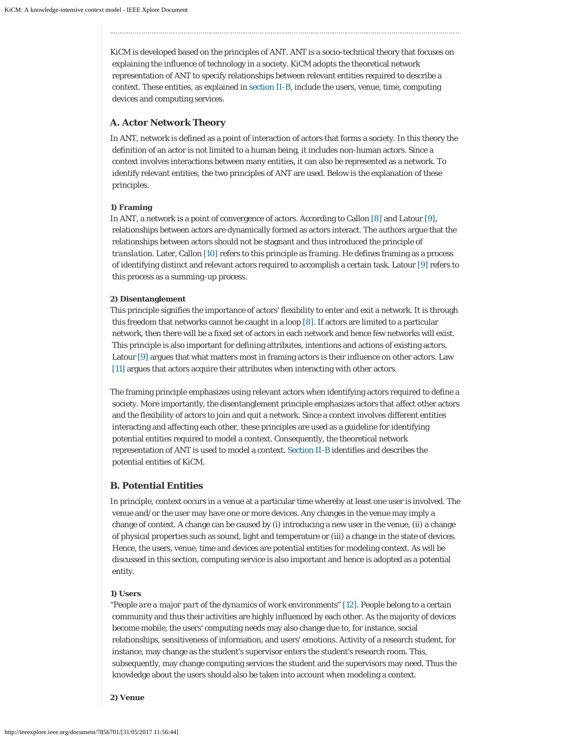*KiCM* is developed based on the principles of ANT. ANT is a socio-technical theory that focuses on explaining the influence of technology in a society. *KiCM* adopts the theoretical network representation of ANT to specify relationships between relevant entities required to describe a context. These entities, as explained in section II-B, include the users, venue, time, computing devices and computing services.

#### **A. Actor Network Theory**

In ANT, network is defined as a point of interaction of actors that forms a society. In this theory the definition of an actor is not limited to a human being, it includes non-human actors. Since a context involves interactions between many entities, it can also be represented as a network. To identify relevant entities, the two principles of ANT are used. Below is the explanation of these principles.

#### **1) Framing**

In ANT, a network is a point of convergence of actors. According to Callon [8] and Latour [9], relationships between actors are dynamically formed as actors interact. The authors argue that the relationships between actors should not be stagnant and thus introduced the principle of *translation*. Later, Callon [10] refers to this principle as *framing*. He defines framing as a process of identifying distinct and relevant actors required to accomplish a certain task. Latour [9] refers to this process as a *summing-up* process.

#### **2) Disentanglement**

This principle signifies the importance of actors' flexibility to enter and exit a network. It is through this freedom that networks cannot be caught in a loop [8]. If actors are limited to a particular network, then there will be a fixed set of actors in each network and hence few networks will exist. This principle is also important for defining attributes, intentions and actions of existing actors. Latour [9] argues that what matters most in framing actors is their influence on other actors. Law [11] argues that actors acquire their attributes when interacting with other actors.

The framing principle emphasizes using relevant actors when identifying actors required to define a society. More importantly, the disentanglement principle emphasizes actors that affect other actors and the flexibility of actors to join and quit a network. Since a context involves different entities interacting and affecting each other, these principles are used as a guideline for identifying potential entities required to model a context. Consequently, the theoretical network representation of ANT is used to model a context. Section II-B identifies and describes the potential entities of *KiCM*.

#### **B. Potential Entities**

In principle, context occurs in a venue at a particular time whereby at least one user is involved. The venue and/or the user may have one or more devices. Any changes in the venue may imply a change of context. A change can be caused by (i) introducing a new user in the venue, (ii) a change of physical properties such as sound, light and temperature or (iii) a change in the state of devices. Hence, the users, venue, time and devices are potential entities for modeling context. As will be discussed in this section, computing service is also important and hence is adopted as a potential entity.

#### **1) Users**

"*People are a major part of the dynamics of work environments*" [12]. People belong to a certain community and thus their activities are highly influenced by each other. As the majority of devices become mobile, the users' computing needs may also change due to, for instance, social relationships, sensitiveness of information, and users' emotions. Activity of a research student, for instance, may change as the student's supervisor enters the student's research room. This, subsequently, may change computing services the student and the supervisors may need. Thus the knowledge about the users should also be taken into account when modeling a context.

**2) Venue**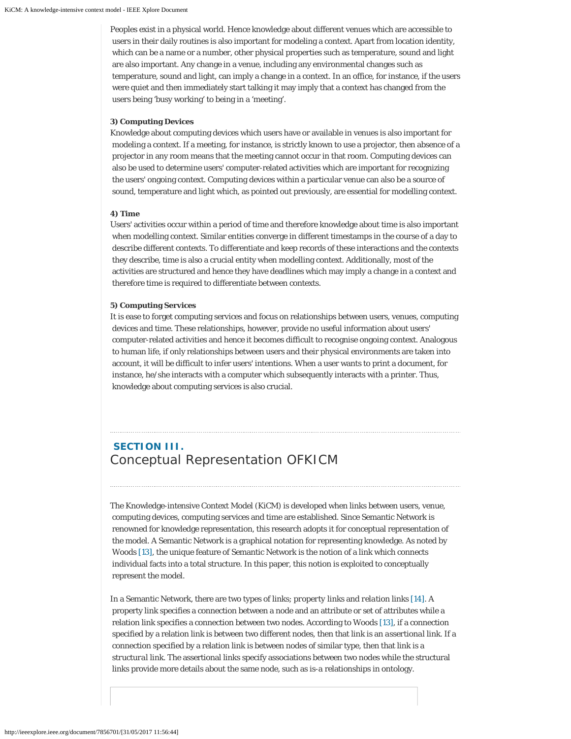Peoples exist in a physical world. Hence knowledge about different venues which are accessible to users in their daily routines is also important for modeling a context. Apart from location identity, which can be a name or a number, other physical properties such as temperature, sound and light are also important. Any change in a venue, including any environmental changes such as temperature, sound and light, can imply a change in a context. In an office, for instance, if the users were quiet and then immediately start talking it may imply that a context has changed from the users being 'busy working' to being in a 'meeting'.

#### **3) Computing Devices**

Knowledge about computing devices which users have or available in venues is also important for modeling a context. If a meeting, for instance, is strictly known to use a projector, then absence of a projector in any room means that the meeting cannot occur in that room. Computing devices can also be used to determine users' computer-related activities which are important for recognizing the users' ongoing context. Computing devices within a particular venue can also be a source of sound, temperature and light which, as pointed out previously, are essential for modelling context.

#### **4) Time**

Users' activities occur within a period of time and therefore knowledge about time is also important when modelling context. Similar entities converge in different timestamps in the course of a day to describe different contexts. To differentiate and keep records of these interactions and the contexts they describe, time is also a crucial entity when modelling context. Additionally, most of the activities are structured and hence they have deadlines which may imply a change in a context and therefore time is required to differentiate between contexts.

#### **5) Computing Services**

It is ease to forget computing services and focus on relationships between users, venues, computing devices and time. These relationships, however, provide no useful information about users' computer-related activities and hence it becomes difficult to recognise ongoing context. Analogous to human life, if only relationships between users and their physical environments are taken into account, it will be difficult to infer users' intentions. When a user wants to print a document, for instance, he/she interacts with a computer which subsequently interacts with a printer. Thus, knowledge about computing services is also crucial.

### **SECTION III.** Conceptual Representation OFKICM

The Knowledge-intensive Context Model (*KiCM*) is developed when links between users, venue, computing devices, computing services and time are established. Since Semantic Network is renowned for knowledge representation, this research adopts it for conceptual representation of the model. A Semantic Network is a graphical notation for representing knowledge. As noted by Woods [13], the unique feature of Semantic Network is the notion of a link which connects individual facts into a total structure. In this paper, this notion is exploited to conceptually represent the model.

In a Semantic Network, there are two types of links; *property links* and *relation links* [14]. A property link specifies a connection between a node and an attribute or set of attributes while a relation link specifies a connection between two nodes. According to Woods [13], if a connection specified by a relation link is between two different nodes, then that link is an *assertional link*. If a connection specified by a relation link is between nodes of similar type, then that link is a *structural link*. The assertional links specify associations between two nodes while the structural links provide more details about the same node, such as *is-a* relationships in ontology.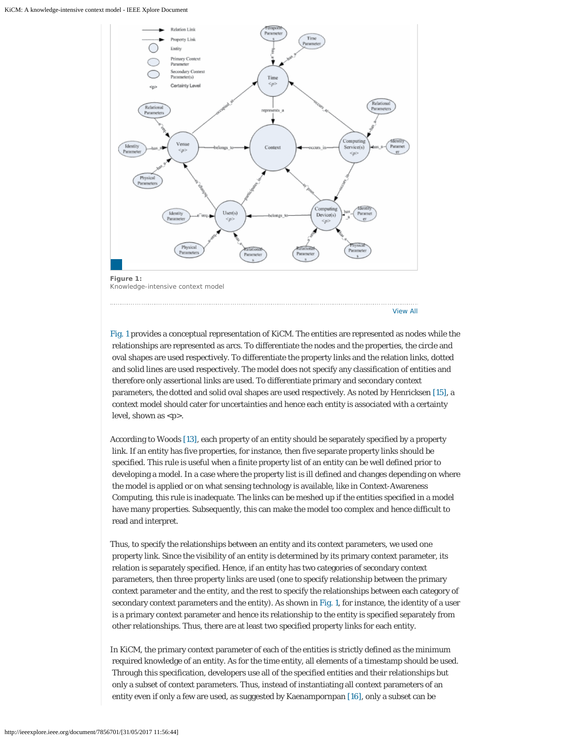

[View All](http://ieeexplore.ieee.org/document/7856701/all-figures)

Fig. 1 provides a conceptual representation of *KiCM*. The entities are represented as nodes while the relationships are represented as arcs. To differentiate the nodes and the properties, the circle and oval shapes are used respectively. To differentiate the property links and the relation links, dotted and solid lines are used respectively. The model does not specify any classification of entities and therefore only assertional links are used. To differentiate primary and secondary context parameters, the dotted and solid oval shapes are used respectively. As noted by Henricksen [15], a context model should cater for uncertainties and hence each entity is associated with a certainty level, shown as <*p*>.

According to Woods [13], each property of an entity should be separately specified by a property link. If an entity has five properties, for instance, then five separate property links should be specified. This rule is useful when a finite property list of an entity can be well defined prior to developing a model. In a case where the property list is ill defined and changes depending on where the model is applied or on what sensing technology is available, like in Context-Awareness Computing, this rule is inadequate. The links can be meshed up if the entities specified in a model have many properties. Subsequently, this can make the model too complex and hence difficult to read and interpret.

Thus, to specify the relationships between an entity and its context parameters, we used one property link. Since the visibility of an entity is determined by its primary context parameter, its relation is separately specified. Hence, if an entity has two categories of secondary context parameters, then three property links are used (one to specify relationship between the primary context parameter and the entity, and the rest to specify the relationships between each category of secondary context parameters and the entity). As shown in Fig. 1, for instance, the identity of a user is a primary context parameter and hence its relationship to the entity is specified separately from other relationships. Thus, there are at least two specified property links for each entity.

In *KiCM*, the primary context parameter of each of the entities is strictly defined as the minimum required knowledge of an entity. As for the time entity, all elements of a timestamp should be used. Through this specification, developers use all of the specified entities and their relationships but only a subset of context parameters. Thus, instead of instantiating all context parameters of an entity even if only a few are used, as suggested by Kaenampornpan [16], only a subset can be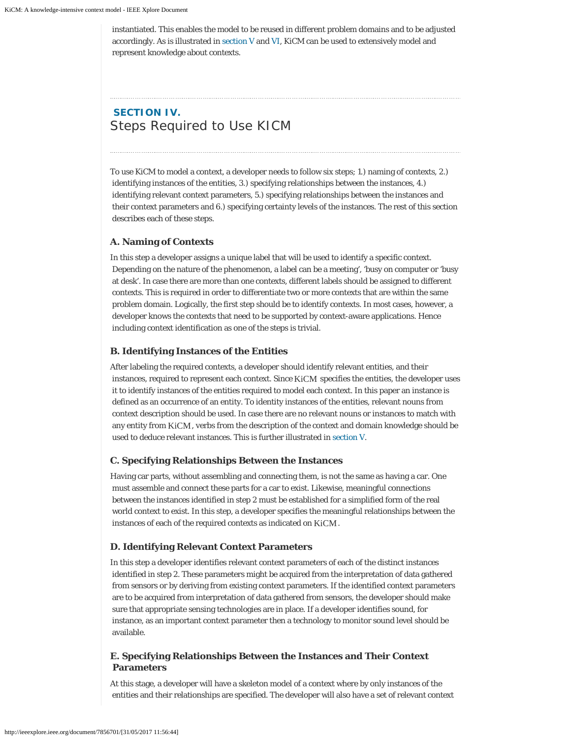instantiated. This enables the model to be reused in different problem domains and to be adjusted accordingly. As is illustrated in section V and VI, *KiCM* can be used to extensively model and represent knowledge about contexts.

## **SECTION IV.** Steps Required to Use KICM

To use *KiCM* to model a context, a developer needs to follow six steps; 1.) naming of contexts, 2.) identifying instances of the entities, 3.) specifying relationships between the instances, 4.) identifying relevant context parameters, 5.) specifying relationships between the instances and their context parameters and 6.) specifying certainty levels of the instances. The rest of this section describes each of these steps.

#### **A. Naming of Contexts**

In this step a developer assigns a unique label that will be used to identify a specific context. Depending on the nature of the phenomenon, a label can be a meeting', 'busy on computer or 'busy at desk'. In case there are more than one contexts, different labels should be assigned to different contexts. This is required in order to differentiate two or more contexts that are within the same problem domain. Logically, the first step should be to identify contexts. In most cases, however, a developer knows the contexts that need to be supported by context-aware applications. Hence including context identification as one of the steps is trivial.

#### **B. Identifying Instances of the Entities**

After labeling the required contexts, a developer should identify relevant entities, and their instances, required to represent each context. Since KiCM specifies the entities, the developer uses it to identify instances of the entities required to model each context. In this paper an instance is defined as an occurrence of an entity. To identity instances of the entities, relevant nouns from context description should be used. In case there are no relevant nouns or instances to match with any entity from KiCM, verbs from the description of the context and domain knowledge should be used to deduce relevant instances. This is further illustrated in section V.

#### **C. Specifying Relationships Between the Instances**

Having car parts, without assembling and connecting them, is not the same as having a car. One must assemble and connect these parts for a car to exist. Likewise, meaningful connections between the instances identified in step 2 must be established for a simplified form of the real world context to exist. In this step, a developer specifies the meaningful relationships between the instances of each of the required contexts as indicated on KiCM.

#### **D. Identifying Relevant Context Parameters**

In this step a developer identifies relevant context parameters of each of the distinct instances identified in step 2. These parameters might be acquired from the interpretation of data gathered from sensors or by deriving from existing context parameters. If the identified context parameters are to be acquired from interpretation of data gathered from sensors, the developer should make sure that appropriate sensing technologies are in place. If a developer identifies sound, for instance, as an important context parameter then a technology to monitor sound level should be available.

#### **E. Specifying Relationships Between the Instances and Their Context Parameters**

At this stage, a developer will have a skeleton model of a context where by only instances of the entities and their relationships are specified. The developer will also have a set of relevant context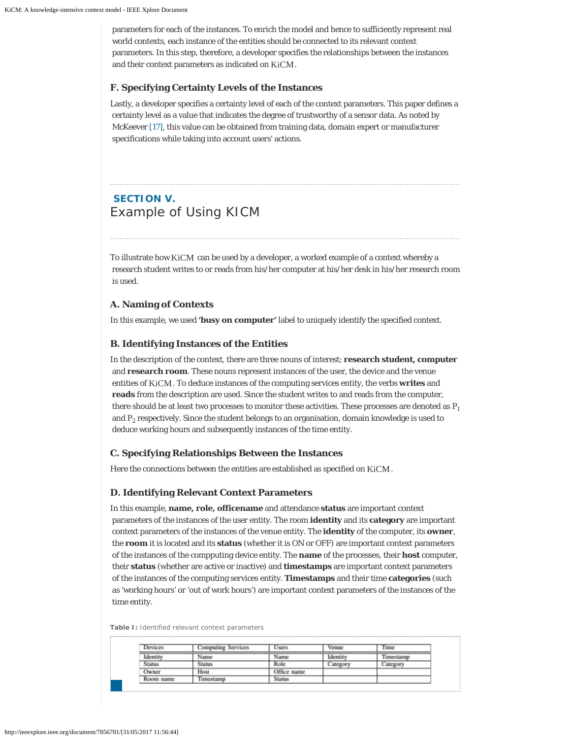parameters for each of the instances. To enrich the model and hence to sufficiently represent real world contexts, each instance of the entities should be connected to its relevant context parameters. In this step, therefore, a developer specifies the relationships between the instances and their context parameters as indicated on KiCM.

#### **F. Specifying Certainty Levels of the Instances**

Lastly, a developer specifies a certainty level of each of the context parameters. This paper defines a certainty level as a value that indicates the degree of trustworthy of a sensor data. As noted by McKeever [17], this value can be obtained from training data, domain expert or manufacturer specifications while taking into account users' actions.

### **SECTION V.** Example of Using KICM

To illustrate how  $\rm KiCM$  can be used by a developer, a worked example of a context whereby a research student writes to or reads from his/her computer at his/her desk in his/her research room is used.

#### **A. Naming of Contexts**

In this example, we used **'busy on computer'** label to uniquely identify the specified context.

#### **B. Identifying Instances of the Entities**

In the description of the context, there are three nouns of interest; **research student, computer** and **research room**. These nouns represent instances of the user, the device and the venue entities of KiCM. To deduce instances of the computing services entity, the verbs writes and **reads** from the description are used. Since the student writes to and reads from the computer, there should be at least two processes to monitor these activities. These processes are denoted as *P 1* and  $P_2$  respectively. Since the student belongs to an organisation, domain knowledge is used to deduce working hours and subsequently instances of the time entity.

#### **C. Specifying Relationships Between the Instances**

Here the connections between the entities are established as specified on  $\rm KiCM$  .

#### **D. Identifying Relevant Context Parameters**

In this example, **name, role, officename** and attendance **status** are important context parameters of the instances of the user entity. The room **identity** and its **category** are important context parameters of the instances of the venue entity. The **identity** of the computer, its **owner**, the **room** it is located and its **status** (whether it is ON or OFF) are important context parameters of the instances of the compputing device entity. The **name** of the processes, their **host** computer, their **status** (whether are active or inactive) and **timestamps** are important context parameters of the instances of the computing services entity. **Timestamps** and their time **categories** (such as 'working hours' or 'out of work hours') are important context parameters of the instances of the time entity.

| Devices       | Computing Services | <b>Users</b> | Venue    | Time      |
|---------------|--------------------|--------------|----------|-----------|
| Identity      | Name               | Name         | Identity | Timestamp |
| <b>Status</b> | Status             | Role         | ategor   | Categor   |
| Owner         | Host               | Office name  |          |           |
| Room name     | Timestamp          | Status       |          |           |

|  |  |  |  |  | Table I: Identified relevant context parameters |
|--|--|--|--|--|-------------------------------------------------|
|--|--|--|--|--|-------------------------------------------------|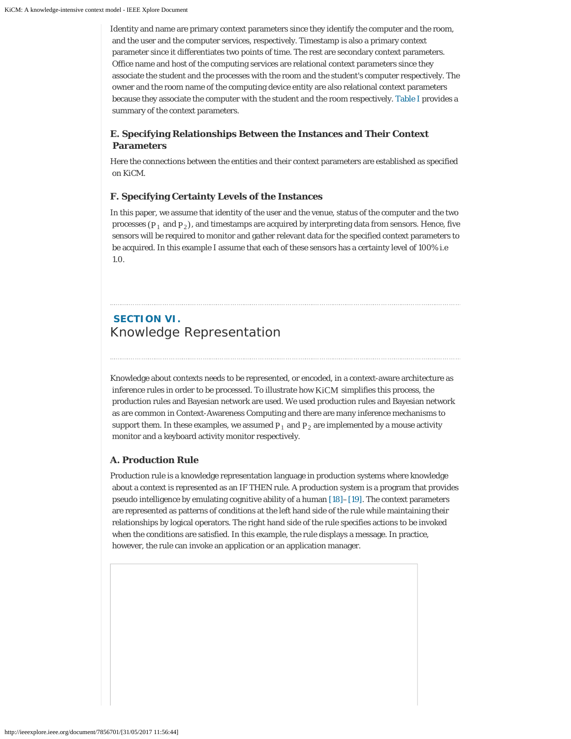Identity and name are primary context parameters since they identify the computer and the room, and the user and the computer services, respectively. Timestamp is also a primary context parameter since it differentiates two points of time. The rest are secondary context parameters. Office name and host of the computing services are relational context parameters since they associate the student and the processes with the room and the student's computer respectively. The owner and the room name of the computing device entity are also relational context parameters because they associate the computer with the student and the room respectively. Table I provides a summary of the context parameters.

### **E. Specifying Relationships Between the Instances and Their Context Parameters**

Here the connections between the entities and their context parameters are established as specified on *KiCM*.

#### **F. Specifying Certainty Levels of the Instances**

In this paper, we assume that identity of the user and the venue, status of the computer and the two processes ( $P_1$  and  $P_2$ ), and timestamps are acquired by interpreting data from sensors. Hence, five sensors will be required to monitor and gather relevant data for the specified context parameters to be acquired. In this example I assume that each of these sensors has a certainty level of 100% i.e 1.0.

### **SECTION VI.** Knowledge Representation

Knowledge about contexts needs to be represented, or *encoded*, in a context-aware architecture as inference rules in order to be processed. To illustrate how KiCM simplifies this process, the production rules and Bayesian network are used. We used production rules and Bayesian network as are common in Context-Awareness Computing and there are many inference mechanisms to support them. In these examples, we assumed  $P_1$  and  $P_2$  are implemented by a mouse activity monitor and a keyboard activity monitor respectively.

#### **A. Production Rule**

Production rule is a knowledge representation language in production systems where knowledge about a context is represented as an IF THEN rule. A production system is a program that provides pseudo intelligence by emulating cognitive ability of a human [18]–[19]. The context parameters are represented as patterns of conditions at the left hand side of the rule while maintaining their relationships by logical operators. The right hand side of the rule specifies actions to be invoked when the conditions are satisfied. In this example, the rule displays a message. In practice, however, the rule can invoke an application or an application manager.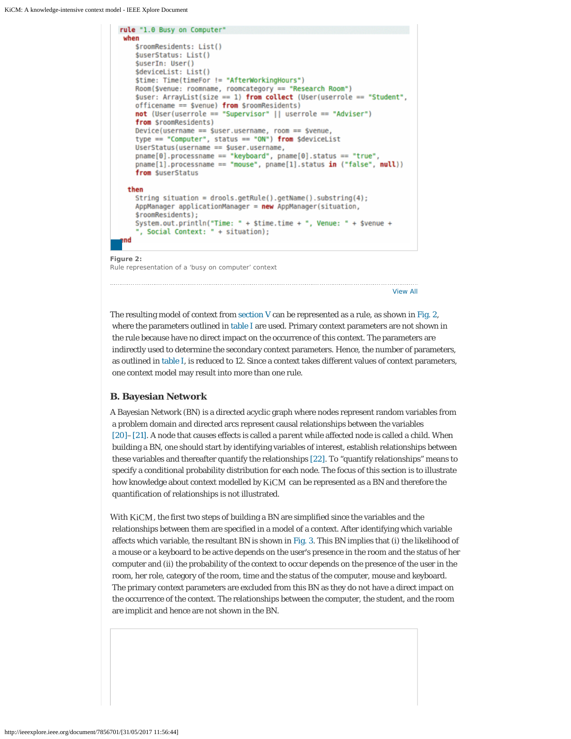```
rule "1.0 Busy on Computer"
when
   $roomResidents: List()
   $userStatus: List()
   $userIn: User()
   $deviceList: List()
   $time: Time(timeFor != "AfterWorkingHours")
   Room($venue: roomname, roomcategory == "Research Room")
   $user: ArrayList(size == 1) from collect (User(userrole == "Student",
   officename == $venue) from $roomResidents)not (User(userrole == "Supervisor" || userrole == "Adviser")
   from $roomResidents)
   Device(username == $user.username, room == $venue,
   type == "Computer", status == "ON") from $deviceList
   UserStatus(username == $user.username,
   pname[0].processname == "keyboard", pname[0].status == "true",pname[1].processname == "mouse", pname[1].status in ("false", null))
   from SuserStatus
 then
   String situation = drools.getRule().getName().substring(4);
   AppManager applicationManager = new AppManager(situation,
   $roomResidents):
   System.out.println("Time: " + $time.time + ", Venue: " + $venue +
    , Social Context: " + situation);
end
```
**Figure 2:** Rule representation of a 'busy on computer' context

[View All](http://ieeexplore.ieee.org/document/7856701/all-figures)

The resulting model of context from section V can be represented as a rule, as shown in Fig. 2, where the parameters outlined in table I are used. Primary context parameters are not shown in the rule because have no direct impact on the occurrence of this context. The parameters are indirectly used to determine the secondary context parameters. Hence, the number of parameters, as outlined in table I, is reduced to 12. Since a context takes different values of context parameters, one context model may result into more than one rule.

#### **B. Bayesian Network**

A Bayesian Network (BN) is a directed acyclic graph where nodes represent random variables from a problem domain and directed arcs represent causal relationships between the variables [20]–[21]. A node that causes effects is called a *parent* while affected node is called a *child*. When building a BN, one should start by identifying variables of interest, establish relationships between these variables and thereafter quantify the relationships [22]. To "quantify relationships" means to specify a conditional probability distribution for each node. The focus of this section is to illustrate how knowledge about context modelled by KiCM can be represented as a BN and therefore the quantification of relationships is not illustrated.

With KiCM, the first two steps of building a BN are simplified since the variables and the relationships between them are specified in a model of a context. After identifying which variable affects which variable, the resultant BN is shown in Fig. 3. This BN implies that (i) the likelihood of a mouse or a keyboard to be active depends on the user's presence in the room and the status of her computer and (ii) the probability of the context to occur depends on the presence of the user in the room, her role, category of the room, time and the status of the computer, mouse and keyboard. The primary context parameters are excluded from this BN as they do not have a direct impact on the occurrence of the context. The relationships between the computer, the student, and the room are implicit and hence are not shown in the BN.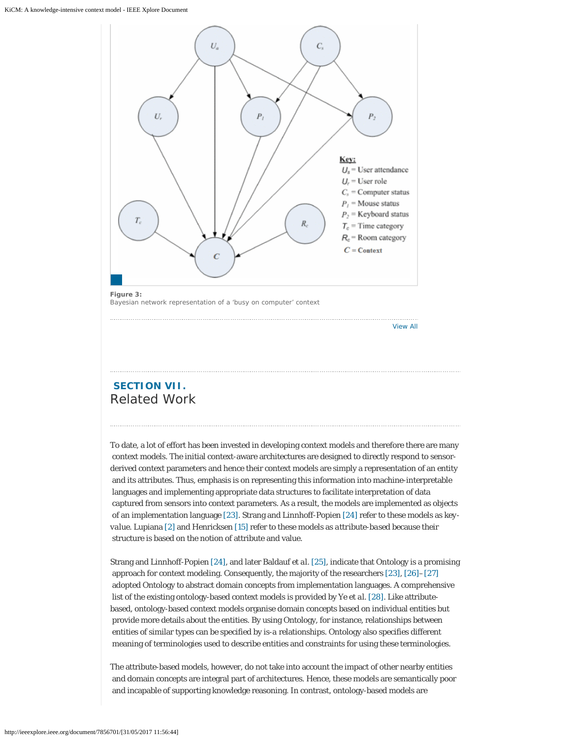

Bayesian network representation of a 'busy on computer' context

[View All](http://ieeexplore.ieee.org/document/7856701/all-figures)

### **SECTION VII.** Related Work

To date, a lot of effort has been invested in developing context models and therefore there are many context models. The initial context-aware architectures are designed to directly respond to sensorderived context parameters and hence their context models are simply a representation of an entity and its attributes. Thus, emphasis is on representing this information into machine-interpretable languages and implementing appropriate data structures to facilitate interpretation of data captured from sensors into context parameters. As a result, the models are implemented as objects of an implementation language [23]. Strang and Linnhoff-Popien [24] refer to these models as *keyvalue*. Lupiana [2] and Henricksen [15] refer to these models as *attribute-based* because their structure is based on the notion of attribute and value.

Strang and Linnhoff-Popien [24], and later Baldauf *et al*. [25], indicate that Ontology is a promising approach for context modeling. Consequently, the majority of the researchers [23], [26]–[27] adopted Ontology to abstract domain concepts from implementation languages. A comprehensive list of the existing ontology-based context models is provided by Ye *et al*. [28]. Like attributebased, ontology-based context models organise domain concepts based on individual entities but provide more details about the entities. By using Ontology, for instance, relationships between entities of similar types can be specified by *is-a* relationships. Ontology also specifies different meaning of terminologies used to describe entities and constraints for using these terminologies.

The attribute-based models, however, do not take into account the impact of other nearby entities and domain concepts are integral part of architectures. Hence, these models are semantically poor and incapable of supporting knowledge reasoning. In contrast, ontology-based models are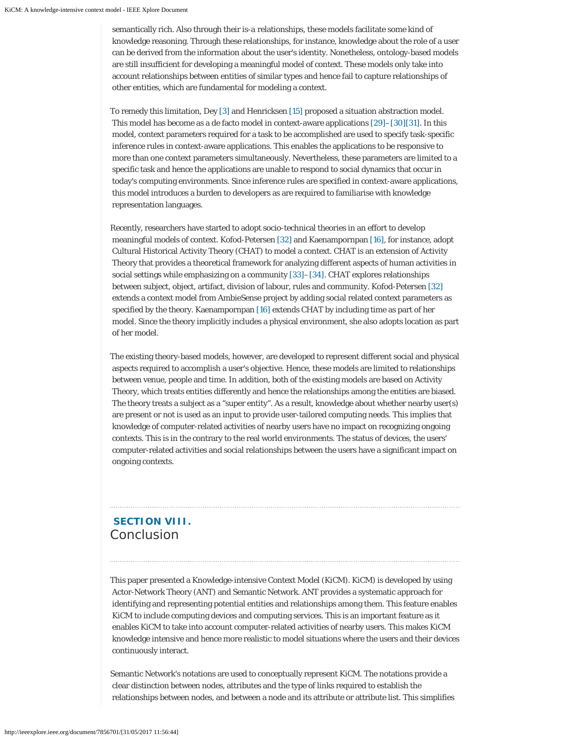semantically rich. Also through their *is-a* relationships, these models facilitate some kind of knowledge reasoning. Through these relationships, for instance, knowledge about the role of a user can be derived from the information about the user's identity. Nonetheless, ontology-based models are still insufficient for developing a meaningful model of context. These models only take into account relationships between entities of similar types and hence fail to capture relationships of other entities, which are fundamental for modeling a context.

To remedy this limitation, Dey [3] and Henricksen [15] proposed a situation abstraction model. This model has become as a de facto model in context-aware applications [29]–[30][31]. In this model, context parameters required for a task to be accomplished are used to specify task-specific inference rules in context-aware applications. This enables the applications to be responsive to more than one context parameters simultaneously. Nevertheless, these parameters are limited to a specific task and hence the applications are unable to respond to social dynamics that occur in today's computing environments. Since inference rules are specified in context-aware applications, this model introduces a burden to developers as are required to familiarise with knowledge representation languages.

Recently, researchers have started to adopt socio-technical theories in an effort to develop meaningful models of context. Kofod-Petersen [32] and Kaenampornpan [16], for instance, adopt Cultural Historical Activity Theory (CHAT) to model a context. CHAT is an extension of Activity Theory that provides a theoretical framework for analyzing different aspects of human activities in social settings while emphasizing on a community [33]–[34]. CHAT explores relationships between subject, object, artifact, division of labour, rules and community. Kofod-Petersen [32] extends a context model from AmbieSense project by adding social related context parameters as specified by the theory. Kaenampornpan [16] extends CHAT by including time as part of her model. Since the theory implicitly includes a physical environment, she also adopts location as part of her model.

The existing theory-based models, however, are developed to represent different social and physical aspects required to accomplish a user's objective. Hence, these models are limited to relationships between venue, people and time. In addition, both of the existing models are based on Activity Theory, which treats entities differently and hence the relationships among the entities are biased. The theory treats a subject as a "super entity". As a result, knowledge about whether nearby user(s) are present or not is used as an input to provide user-tailored computing needs. This implies that knowledge of computer-related activities of nearby users have no impact on recognizing ongoing contexts. This is in the contrary to the real world environments. The status of devices, the users' computer-related activities and social relationships between the users have a significant impact on ongoing contexts.

### **SECTION VIII.** Conclusion

This paper presented a Knowledge-intensive Context Model (*KiCM). KiCM*) is developed by using Actor-Network Theory (ANT) and Semantic Network. ANT provides a systematic approach for identifying and representing potential entities and relationships among them. This feature enables *KiCM* to include computing devices and computing services. This is an important feature as it enables *KiCM* to take into account computer-related activities of nearby users. This makes *KiCM* knowledge intensive and hence more realistic to model situations where the users and their devices continuously interact.

Semantic Network's notations are used to conceptually represent *KiCM*. The notations provide a clear distinction between nodes, attributes and the type of links required to establish the relationships between nodes, and between a node and its attribute or attribute list. This simplifies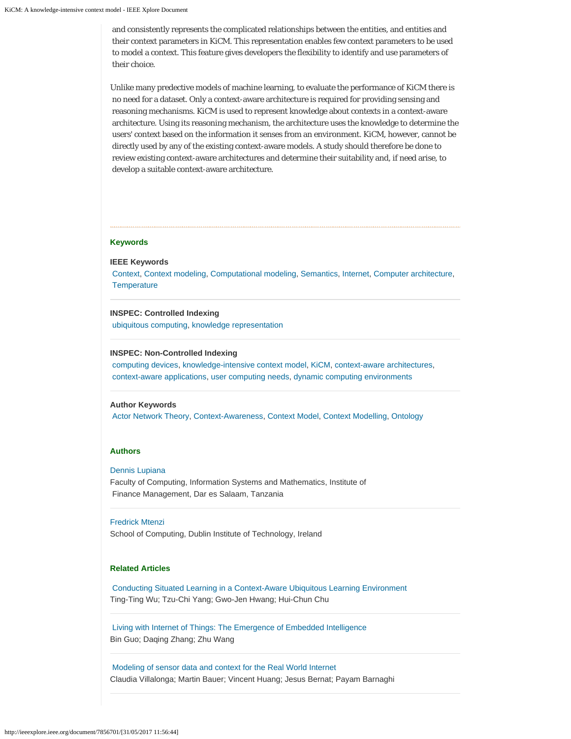and consistently represents the complicated relationships between the entities, and entities and their context parameters in *KiCM*. This representation enables few context parameters to be used to model a context. This feature gives developers the flexibility to identify and use parameters of their choice.

Unlike many predective models of machine learning, to evaluate the performance of *KiCM* there is no need for a dataset. Only a context-aware architecture is required for providing sensing and reasoning mechanisms. *KiCM* is used to represent knowledge about contexts in a context-aware architecture. Using its reasoning mechanism, the architecture uses the knowledge to determine the users' context based on the information it senses from an environment. *KiCM*, however, cannot be directly used by any of the existing context-aware models. A study should therefore be done to review existing context-aware architectures and determine their suitability and, if need arise, to develop a suitable context-aware architecture.

#### **Keywords**

**IEEE Keywords**

[Context](http://ieeexplore.ieee.org/search/searchresult.jsp?matchBoolean=true&queryText=%22Index%20Terms%22:.QT.Context.QT.&newsearch=true), [Context modeling](http://ieeexplore.ieee.org/search/searchresult.jsp?matchBoolean=true&queryText=%22Index%20Terms%22:.QT.Context%20modeling.QT.&newsearch=true), [Computational modeling,](http://ieeexplore.ieee.org/search/searchresult.jsp?matchBoolean=true&queryText=%22Index%20Terms%22:.QT.Computational%20modeling.QT.&newsearch=true) [Semantics](http://ieeexplore.ieee.org/search/searchresult.jsp?matchBoolean=true&queryText=%22Index%20Terms%22:.QT.Semantics.QT.&newsearch=true), [Internet](http://ieeexplore.ieee.org/search/searchresult.jsp?matchBoolean=true&queryText=%22Index%20Terms%22:.QT.Internet.QT.&newsearch=true), [Computer architecture](http://ieeexplore.ieee.org/search/searchresult.jsp?matchBoolean=true&queryText=%22Index%20Terms%22:.QT.Computer%20architecture.QT.&newsearch=true), **[Temperature](http://ieeexplore.ieee.org/search/searchresult.jsp?matchBoolean=true&queryText=%22Index%20Terms%22:.QT.Temperature.QT.&newsearch=true)** 

#### **INSPEC: Controlled Indexing**

[ubiquitous computing](http://ieeexplore.ieee.org/search/searchresult.jsp?matchBoolean=true&queryText=%22Index%20Terms%22:.QT.ubiquitous%20computing.QT.&newsearch=true), [knowledge representation](http://ieeexplore.ieee.org/search/searchresult.jsp?matchBoolean=true&queryText=%22Index%20Terms%22:.QT.knowledge%20representation.QT.&newsearch=true)

#### **INSPEC: Non-Controlled Indexing**

[computing devices](http://ieeexplore.ieee.org/search/searchresult.jsp?matchBoolean=true&queryText=%22Index%20Terms%22:.QT.computing%20devices.QT.&newsearch=true), [knowledge-intensive context model](http://ieeexplore.ieee.org/search/searchresult.jsp?matchBoolean=true&queryText=%22Index%20Terms%22:.QT.knowledge-intensive%20context%20model.QT.&newsearch=true), [KiCM](http://ieeexplore.ieee.org/search/searchresult.jsp?matchBoolean=true&queryText=%22Index%20Terms%22:.QT.KiCM.QT.&newsearch=true), [context-aware architectures,](http://ieeexplore.ieee.org/search/searchresult.jsp?matchBoolean=true&queryText=%22Index%20Terms%22:.QT.context-aware%20architectures.QT.&newsearch=true) [context-aware applications](http://ieeexplore.ieee.org/search/searchresult.jsp?matchBoolean=true&queryText=%22Index%20Terms%22:.QT.context-aware%20applications.QT.&newsearch=true), [user computing needs](http://ieeexplore.ieee.org/search/searchresult.jsp?matchBoolean=true&queryText=%22Index%20Terms%22:.QT.user%20computing%20needs.QT.&newsearch=true), [dynamic computing environments](http://ieeexplore.ieee.org/search/searchresult.jsp?matchBoolean=true&queryText=%22Index%20Terms%22:.QT.dynamic%20computing%20environments.QT.&newsearch=true)

#### **Author Keywords**

[Actor Network Theory](http://ieeexplore.ieee.org/search/searchresult.jsp?matchBoolean=true&queryText=%22Index%20Terms%22:.QT.Actor%20Network%20Theory.QT.&newsearch=true), [Context-Awareness](http://ieeexplore.ieee.org/search/searchresult.jsp?matchBoolean=true&queryText=%22Index%20Terms%22:.QT.Context-Awareness.QT.&newsearch=true), [Context Model](http://ieeexplore.ieee.org/search/searchresult.jsp?matchBoolean=true&queryText=%22Index%20Terms%22:.QT.Context%20Model.QT.&newsearch=true), [Context Modelling](http://ieeexplore.ieee.org/search/searchresult.jsp?matchBoolean=true&queryText=%22Index%20Terms%22:.QT.Context%20Modelling.QT.&newsearch=true), [Ontology](http://ieeexplore.ieee.org/search/searchresult.jsp?matchBoolean=true&queryText=%22Index%20Terms%22:.QT.Ontology.QT.&newsearch=true)

#### **Authors**

#### [Dennis Lupiana](http://ieeexplore.ieee.org/search/searchresult.jsp?searchWithin=%22Authors%22:.QT.Dennis%20Lupiana.QT.&newsearch=true)

Faculty of Computing, Information Systems and Mathematics, Institute of Finance Management, Dar es Salaam, Tanzania

#### [Fredrick Mtenzi](http://ieeexplore.ieee.org/search/searchresult.jsp?searchWithin=%22Authors%22:.QT.Fredrick%20Mtenzi.QT.&newsearch=true)

School of Computing, Dublin Institute of Technology, Ireland

#### **Related Articles**

[Conducting Situated Learning in a Context-Aware Ubiquitous Learning Environment](http://ieeexplore.ieee.org/document/4489792) Ting-Ting Wu; Tzu-Chi Yang; Gwo-Jen Hwang; Hui-Chun Chu

[Living with Internet of Things: The Emergence of Embedded Intelligence](http://ieeexplore.ieee.org/document/6142270) Bin Guo; Daqing Zhang; Zhu Wang

[Modeling of sensor data and context for the Real World Internet](http://ieeexplore.ieee.org/document/5470594) Claudia Villalonga; Martin Bauer; Vincent Huang; Jesus Bernat; Payam Barnaghi